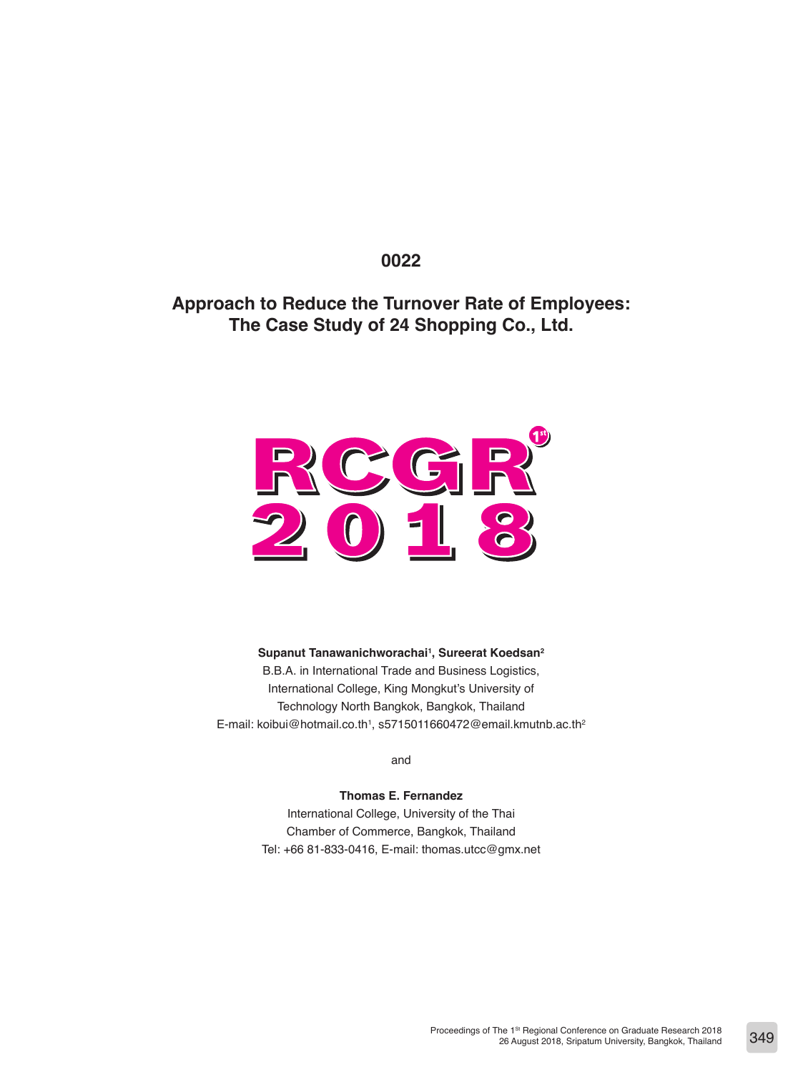## **0022**

# **Approach to Reduce the Turnover Rate of Employees: The Case Study of 24 Shopping Co., Ltd.**



**Supanut Tanawanichworachai1 , Sureerat Koedsan2** B.B.A. in International Trade and Business Logistics, International College, King Mongkut's University of Technology North Bangkok, Bangkok, Thailand E-mail: koibui@hotmail.co.th<sup>1</sup>, s5715011660472@email.kmutnb.ac.th<sup>2</sup>

and

**Thomas E. Fernandez** International College, University of the Thai Chamber of Commerce, Bangkok, Thailand Tel: +66 81-833-0416, E-mail: thomas.utcc@gmx.net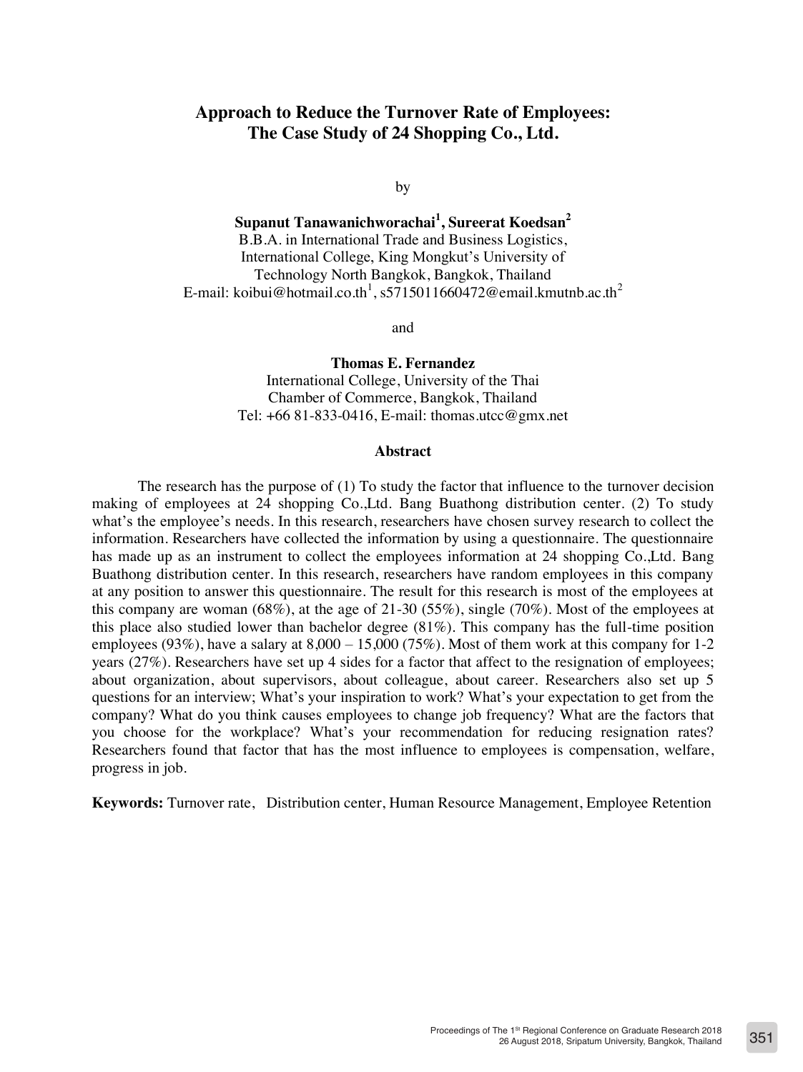## **Approach to Reduce the Turnover Rate of Employees: The Case Study of 24 Shopping Co., Ltd.**

by

**Supanut Tanawanichworachai<sup>1</sup> , Sureerat Koedsan2** B.B.A. in International Trade and Business Logistics, International College, King Mongkut's University of Technology North Bangkok, Bangkok, Thailand E-mail: koibui@hotmail.co.th $^1$ , s5715011660472@email.kmutnb.ac.th $^2$ 

and

**Thomas E. Fernandez** International College, University of the Thai Chamber of Commerce, Bangkok, Thailand Tel:  $+6681-833-0416$ , E-mail: thomas.utcc@gmx.net

#### **Abstract**

The research has the purpose of (1) To study the factor that influence to the turnover decision making of employees at 24 shopping Co.,Ltd. Bang Buathong distribution center. (2) To study what's the employee's needs. In this research, researchers have chosen survey research to collect the information. Researchers have collected the information by using a questionnaire. The questionnaire has made up as an instrument to collect the employees information at 24 shopping Co.,Ltd. Bang Buathong distribution center. In this research, researchers have random employees in this company at any position to answer this questionnaire. The result for this research is most of the employees at this company are woman (68%), at the age of 21-30 (55%), single (70%). Most of the employees at this place also studied lower than bachelor degree (81%). This company has the full-time position employees (93%), have a salary at  $8,000 - 15,000$  (75%). Most of them work at this company for 1-2 years (27%). Researchers have set up 4 sides for a factor that affect to the resignation of employees; about organization, about supervisors, about colleague, about career. Researchers also set up 5 questions for an interview; What's your inspiration to work? What's your expectation to get from the company? What do you think causes employees to change job frequency? What are the factors that you choose for the workplace? What's your recommendation for reducing resignation rates? Researchers found that factor that has the most influence to employees is compensation, welfare, progress in job.

**Keywords:** Turnover rate, Distribution center, Human Resource Management, Employee Retention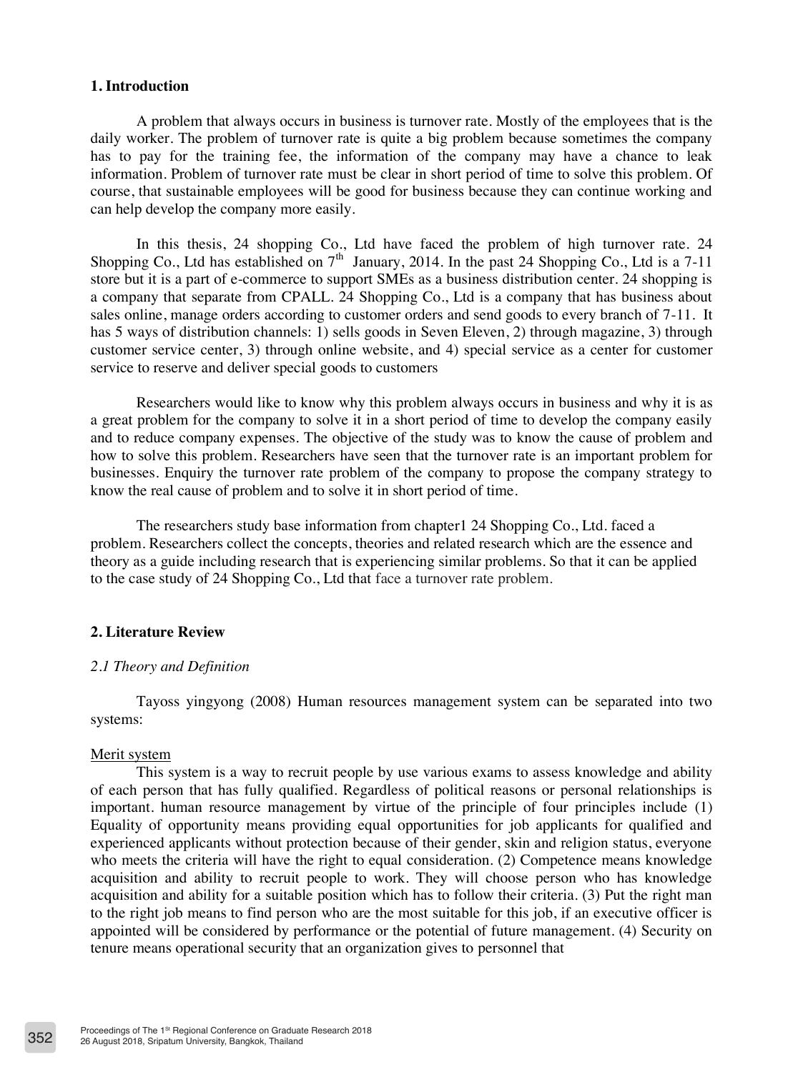## **1. Introduction**

A problem that always occurs in business is turnover rate. Mostly of the employees that is the daily worker. The problem of turnover rate is quite a big problem because sometimes the company has to pay for the training fee, the information of the company may have a chance to leak information. Problem of turnover rate must be clear in short period of time to solve this problem. Of course, that sustainable employees will be good for business because they can continue working and can help develop the company more easily.

In this thesis, 24 shopping Co., Ltd have faced the problem of high turnover rate. 24 Shopping Co., Ltd has established on  $7<sup>th</sup>$  January, 2014. In the past 24 Shopping Co., Ltd is a 7-11 store but it is a part of e-commerce to support SMEs as a business distribution center. 24 shopping is a company that separate from CPALL. 24 Shopping Co., Ltd is a company that has business about sales online, manage orders according to customer orders and send goods to every branch of 7-11. It has 5 ways of distribution channels: 1) sells goods in Seven Eleven, 2) through magazine, 3) through customer service center, 3) through online website, and 4) special service as a center for customer service to reserve and deliver special goods to customers

Researchers would like to know why this problem always occurs in business and why it is as a great problem for the company to solve it in a short period of time to develop the company easily and to reduce company expenses. The objective of the study was to know the cause of problem and how to solve this problem. Researchers have seen that the turnover rate is an important problem for businesses. Enquiry the turnover rate problem of the company to propose the company strategy to know the real cause of problem and to solve it in short period of time.

The researchers study base information from chapter1 24 Shopping Co., Ltd. faced a problem. Researchers collect the concepts, theories and related research which are the essence and theory as a guide including research that is experiencing similar problems. So that it can be applied to the case study of 24 Shopping Co., Ltd that face a turnover rate problem.

## **2. Literature Review**

## *2.1 Theory and Definition*

Tayoss yingyong (2008) Human resources management system can be separated into two systems:

#### Merit system

This system is a way to recruit people by use various exams to assess knowledge and ability of each person that has fully qualified. Regardless of political reasons or personal relationships is important. human resource management by virtue of the principle of four principles include (1) Equality of opportunity means providing equal opportunities for job applicants for qualified and experienced applicants without protection because of their gender, skin and religion status, everyone who meets the criteria will have the right to equal consideration. (2) Competence means knowledge acquisition and ability to recruit people to work. They will choose person who has knowledge acquisition and ability for a suitable position which has to follow their criteria. (3) Put the right man to the right job means to find person who are the most suitable for this job, if an executive officer is appointed will be considered by performance or the potential of future management. (4) Security on tenure means operational security that an organization gives to personnel that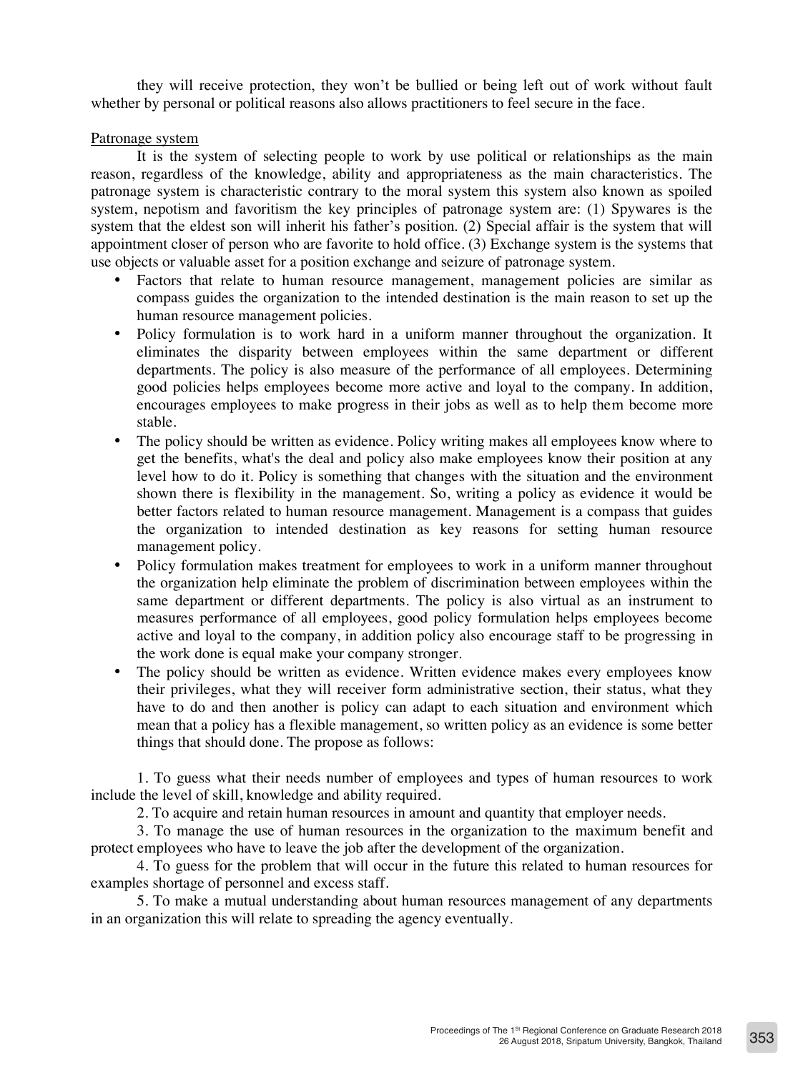they will receive protection, they won't be bullied or being left out of work without fault whether by personal or political reasons also allows practitioners to feel secure in the face.

## Patronage system

It is the system of selecting people to work by use political or relationships as the main reason, regardless of the knowledge, ability and appropriateness as the main characteristics. The patronage system is characteristic contrary to the moral system this system also known as spoiled system, nepotism and favoritism the key principles of patronage system are: (1) Spywares is the system that the eldest son will inherit his father's position. (2) Special affair is the system that will appointment closer of person who are favorite to hold office. (3) Exchange system is the systems that use objects or valuable asset for a position exchange and seizure of patronage system.

- Factors that relate to human resource management, management policies are similar as compass guides the organization to the intended destination is the main reason to set up the human resource management policies.
- Policy formulation is to work hard in a uniform manner throughout the organization. It eliminates the disparity between employees within the same department or different departments. The policy is also measure of the performance of all employees. Determining good policies helps employees become more active and loyal to the company. In addition, encourages employees to make progress in their jobs as well as to help them become more stable.
- The policy should be written as evidence. Policy writing makes all employees know where to get the benefits, what's the deal and policy also make employees know their position at any level how to do it. Policy is something that changes with the situation and the environment shown there is flexibility in the management. So, writing a policy as evidence it would be better factors related to human resource management. Management is a compass that guides the organization to intended destination as key reasons for setting human resource management policy.
- Policy formulation makes treatment for employees to work in a uniform manner throughout the organization help eliminate the problem of discrimination between employees within the same department or different departments. The policy is also virtual as an instrument to measures performance of all employees, good policy formulation helps employees become active and loyal to the company, in addition policy also encourage staff to be progressing in the work done is equal make your company stronger.
- The policy should be written as evidence. Written evidence makes every employees know their privileges, what they will receiver form administrative section, their status, what they have to do and then another is policy can adapt to each situation and environment which mean that a policy has a flexible management, so written policy as an evidence is some better things that should done. The propose as follows:

1. To guess what their needs number of employees and types of human resources to work include the level of skill, knowledge and ability required.

2. To acquire and retain human resources in amount and quantity that employer needs.

3. To manage the use of human resources in the organization to the maximum benefit and protect employees who have to leave the job after the development of the organization.

4. To guess for the problem that will occur in the future this related to human resources for examples shortage of personnel and excess staff.

5. To make a mutual understanding about human resources management of any departments in an organization this will relate to spreading the agency eventually.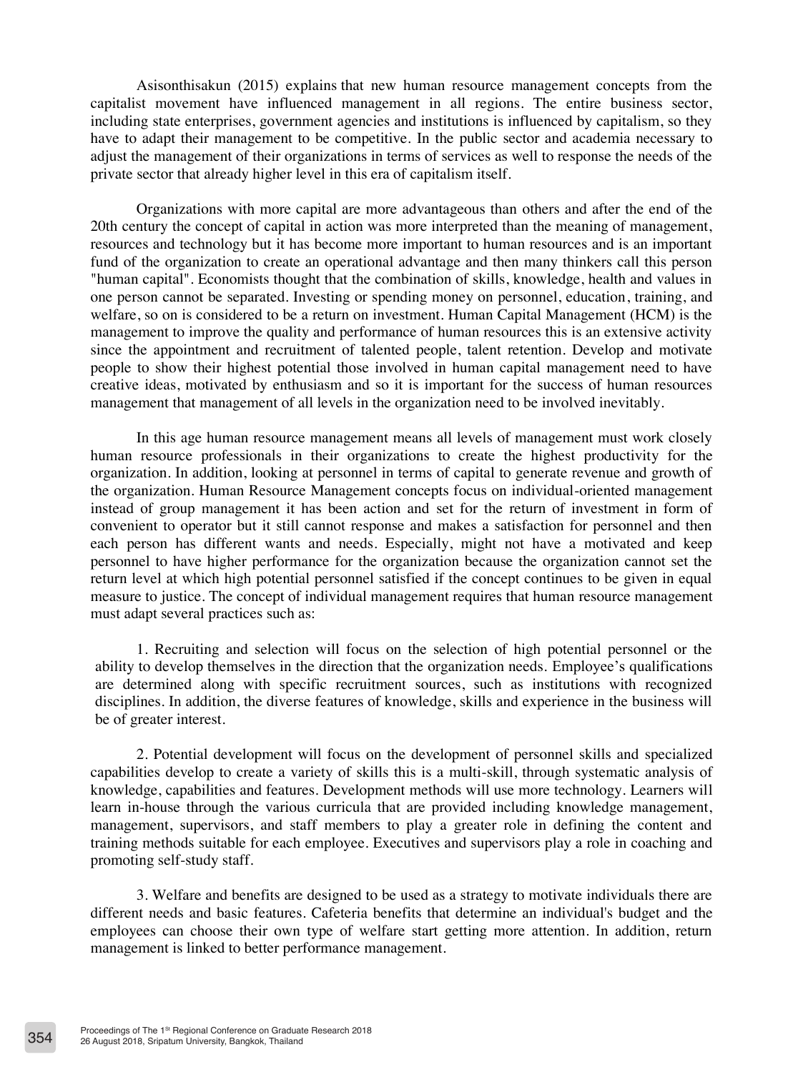Asisonthisakun (2015) explains that new human resource management concepts from the capitalist movement have influenced management in all regions. The entire business sector, including state enterprises, government agencies and institutions is influenced by capitalism, so they have to adapt their management to be competitive. In the public sector and academia necessary to adjust the management of their organizations in terms of services as well to response the needs of the private sector that already higher level in this era of capitalism itself.

Organizations with more capital are more advantageous than others and after the end of the 20th century the concept of capital in action was more interpreted than the meaning of management, resources and technology but it has become more important to human resources and is an important fund of the organization to create an operational advantage and then many thinkers call this person "human capital". Economists thought that the combination of skills, knowledge, health and values in one person cannot be separated. Investing or spending money on personnel, education, training, and welfare, so on is considered to be a return on investment. Human Capital Management (HCM) is the management to improve the quality and performance of human resources this is an extensive activity since the appointment and recruitment of talented people, talent retention. Develop and motivate people to show their highest potential those involved in human capital management need to have creative ideas, motivated by enthusiasm and so it is important for the success of human resources management that management of all levels in the organization need to be involved inevitably.

In this age human resource management means all levels of management must work closely human resource professionals in their organizations to create the highest productivity for the organization. In addition, looking at personnel in terms of capital to generate revenue and growth of the organization. Human Resource Management concepts focus on individual-oriented management instead of group management it has been action and set for the return of investment in form of convenient to operator but it still cannot response and makes a satisfaction for personnel and then each person has different wants and needs. Especially, might not have a motivated and keep personnel to have higher performance for the organization because the organization cannot set the return level at which high potential personnel satisfied if the concept continues to be given in equal measure to justice. The concept of individual management requires that human resource management must adapt several practices such as:

1. Recruiting and selection will focus on the selection of high potential personnel or the ability to develop themselves in the direction that the organization needs. Employee's qualifications are determined along with specific recruitment sources, such as institutions with recognized disciplines. In addition, the diverse features of knowledge, skills and experience in the business will be of greater interest.

2. Potential development will focus on the development of personnel skills and specialized capabilities develop to create a variety of skills this is a multi-skill, through systematic analysis of knowledge, capabilities and features. Development methods will use more technology. Learners will learn in-house through the various curricula that are provided including knowledge management, management, supervisors, and staff members to play a greater role in defining the content and training methods suitable for each employee. Executives and supervisors play a role in coaching and promoting self-study staff.

3. Welfare and benefits are designed to be used as a strategy to motivate individuals there are different needs and basic features. Cafeteria benefits that determine an individual's budget and the employees can choose their own type of welfare start getting more attention. In addition, return management is linked to better performance management.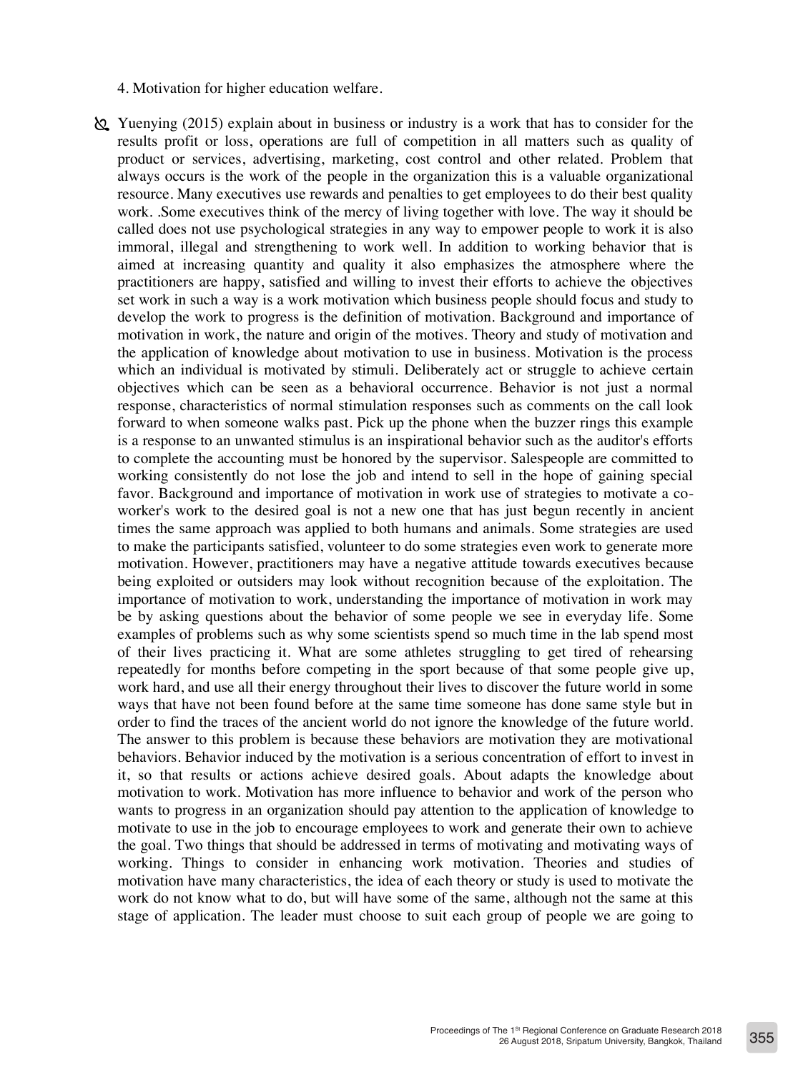- 4. Motivation for higher education welfare.
- Yuenying (2015) explain about in business or industry is a work that has to consider for the results profit or loss, operations are full of competition in all matters such as quality of product or services, advertising, marketing, cost control and other related. Problem that always occurs is the work of the people in the organization this is a valuable organizational resource. Many executives use rewards and penalties to get employees to do their best quality work. .Some executives think of the mercy of living together with love. The way it should be called does not use psychological strategies in any way to empower people to work it is also immoral, illegal and strengthening to work well. In addition to working behavior that is aimed at increasing quantity and quality it also emphasizes the atmosphere where the practitioners are happy, satisfied and willing to invest their efforts to achieve the objectives set work in such a way is a work motivation which business people should focus and study to develop the work to progress is the definition of motivation. Background and importance of motivation in work, the nature and origin of the motives. Theory and study of motivation and the application of knowledge about motivation to use in business. Motivation is the process which an individual is motivated by stimuli. Deliberately act or struggle to achieve certain objectives which can be seen as a behavioral occurrence. Behavior is not just a normal response, characteristics of normal stimulation responses such as comments on the call look forward to when someone walks past. Pick up the phone when the buzzer rings this example is a response to an unwanted stimulus is an inspirational behavior such as the auditor's efforts to complete the accounting must be honored by the supervisor. Salespeople are committed to working consistently do not lose the job and intend to sell in the hope of gaining special favor. Background and importance of motivation in work use of strategies to motivate a coworker's work to the desired goal is not a new one that has just begun recently in ancient times the same approach was applied to both humans and animals. Some strategies are used to make the participants satisfied, volunteer to do some strategies even work to generate more motivation. However, practitioners may have a negative attitude towards executives because being exploited or outsiders may look without recognition because of the exploitation. The importance of motivation to work, understanding the importance of motivation in work may be by asking questions about the behavior of some people we see in everyday life. Some examples of problems such as why some scientists spend so much time in the lab spend most of their lives practicing it. What are some athletes struggling to get tired of rehearsing repeatedly for months before competing in the sport because of that some people give up, work hard, and use all their energy throughout their lives to discover the future world in some ways that have not been found before at the same time someone has done same style but in order to find the traces of the ancient world do not ignore the knowledge of the future world. The answer to this problem is because these behaviors are motivation they are motivational behaviors. Behavior induced by the motivation is a serious concentration of effort to invest in it, so that results or actions achieve desired goals. About adapts the knowledge about motivation to work. Motivation has more influence to behavior and work of the person who wants to progress in an organization should pay attention to the application of knowledge to motivate to use in the job to encourage employees to work and generate their own to achieve the goal. Two things that should be addressed in terms of motivating and motivating ways of working. Things to consider in enhancing work motivation. Theories and studies of motivation have many characteristics, the idea of each theory or study is used to motivate the work do not know what to do, but will have some of the same, although not the same at this stage of application. The leader must choose to suit each group of people we are going to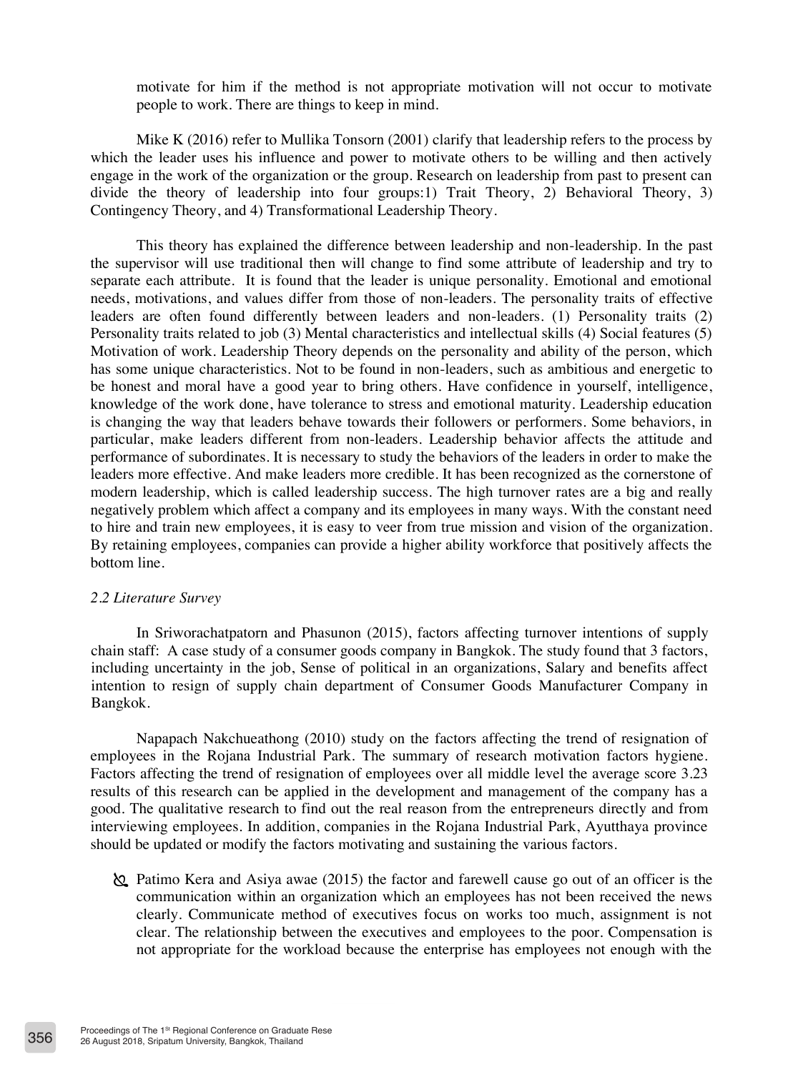motivate for him if the method is not appropriate motivation will not occur to motivate people to work. There are things to keep in mind.

Mike K (2016) refer to Mullika Tonsorn (2001) clarify that leadership refers to the process by which the leader uses his influence and power to motivate others to be willing and then actively engage in the work of the organization or the group. Research on leadership from past to present can divide the theory of leadership into four groups:1) Trait Theory, 2) Behavioral Theory, 3) Contingency Theory, and 4) Transformational Leadership Theory.

This theory has explained the difference between leadership and non-leadership. In the past the supervisor will use traditional then will change to find some attribute of leadership and try to separate each attribute. It is found that the leader is unique personality. Emotional and emotional needs, motivations, and values differ from those of non-leaders. The personality traits of effective leaders are often found differently between leaders and non-leaders. (1) Personality traits (2) Personality traits related to job (3) Mental characteristics and intellectual skills (4) Social features (5) Motivation of work. Leadership Theory depends on the personality and ability of the person, which has some unique characteristics. Not to be found in non-leaders, such as ambitious and energetic to be honest and moral have a good year to bring others. Have confidence in yourself, intelligence, knowledge of the work done, have tolerance to stress and emotional maturity. Leadership education is changing the way that leaders behave towards their followers or performers. Some behaviors, in particular, make leaders different from non-leaders. Leadership behavior affects the attitude and performance of subordinates. It is necessary to study the behaviors of the leaders in order to make the leaders more effective. And make leaders more credible. It has been recognized as the cornerstone of modern leadership, which is called leadership success. The high turnover rates are a big and really negatively problem which affect a company and its employees in many ways. With the constant need to hire and train new employees, it is easy to veer from true mission and vision of the organization. By retaining employees, companies can provide a higher ability workforce that positively affects the bottom line.

#### *2.2 Literature Survey*

In Sriworachatpatorn and Phasunon (2015), factors affecting turnover intentions of supply chain staff: A case study of a consumer goods company in Bangkok. The study found that 3 factors, including uncertainty in the job, Sense of political in an organizations, Salary and benefits affect intention to resign of supply chain department of Consumer Goods Manufacturer Company in Bangkok.

Napapach Nakchueathong (2010) study on the factors affecting the trend of resignation of employees in the Rojana Industrial Park. The summary of research motivation factors hygiene. Factors affecting the trend of resignation of employees over all middle level the average score 3.23 results of this research can be applied in the development and management of the company has a good. The qualitative research to find out the real reason from the entrepreneurs directly and from interviewing employees. In addition, companies in the Rojana Industrial Park, Ayutthaya province should be updated or modify the factors motivating and sustaining the various factors.

 Patimo Kera and Asiya awae (2015) the factor and farewell cause go out of an officer is the communication within an organization which an employees has not been received the news clearly. Communicate method of executives focus on works too much, assignment is not clear. The relationship between the executives and employees to the poor. Compensation is not appropriate for the workload because the enterprise has employees not enough with the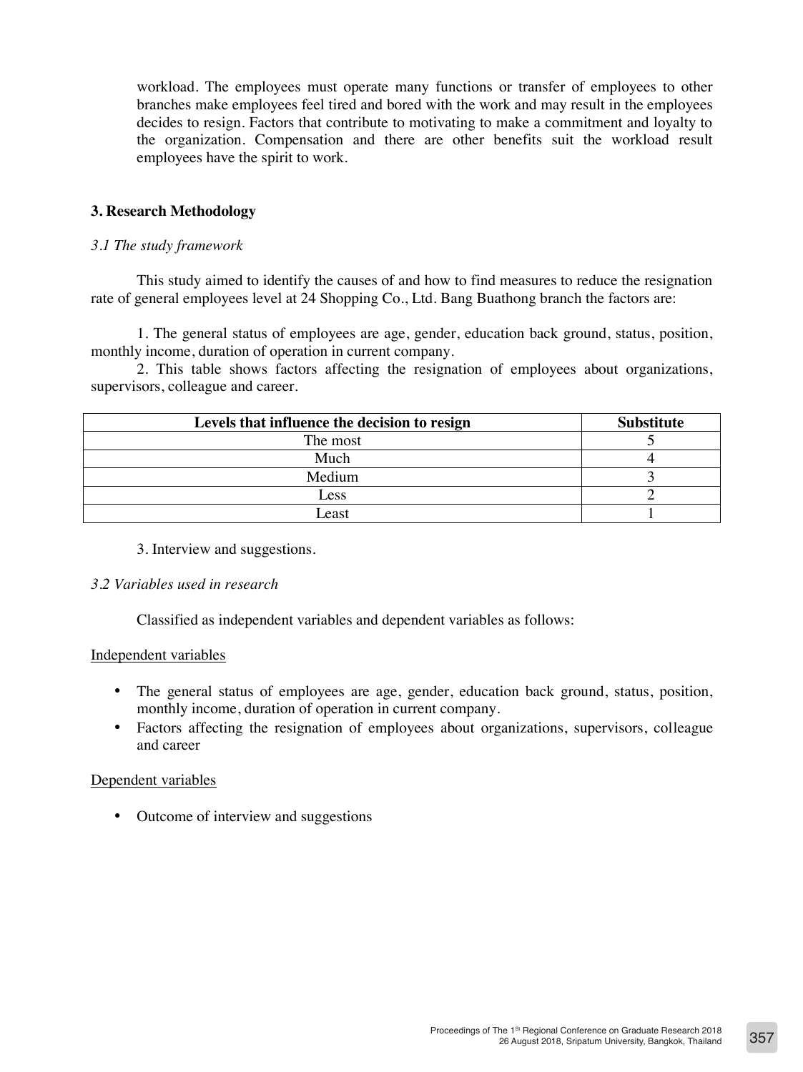workload. The employees must operate many functions or transfer of employees to other branches make employees feel tired and bored with the work and may result in the employees decides to resign. Factors that contribute to motivating to make a commitment and loyalty to the organization. Compensation and there are other benefits suit the workload result employees have the spirit to work.

## **3. Research Methodology**

## *3.1 The study framework*

This study aimed to identify the causes of and how to find measures to reduce the resignation rate of general employees level at 24 Shopping Co., Ltd. Bang Buathong branch the factors are:

1. The general status of employees are age, gender, education back ground, status, position, monthly income, duration of operation in current company.

2. This table shows factors affecting the resignation of employees about organizations, supervisors, colleague and career.

| Levels that influence the decision to resign | <b>Substitute</b> |
|----------------------------------------------|-------------------|
| The most                                     |                   |
| Much                                         |                   |
| Medium                                       |                   |
| Less                                         |                   |
| east                                         |                   |

## 3. Interview and suggestions.

## *3.2 Variables used in research*

Classified as independent variables and dependent variables as follows:

## Independent variables

- The general status of employees are age, gender, education back ground, status, position, monthly income, duration of operation in current company.
- Factors affecting the resignation of employees about organizations, supervisors, colleague and career

## Dependent variables

• Outcome of interview and suggestions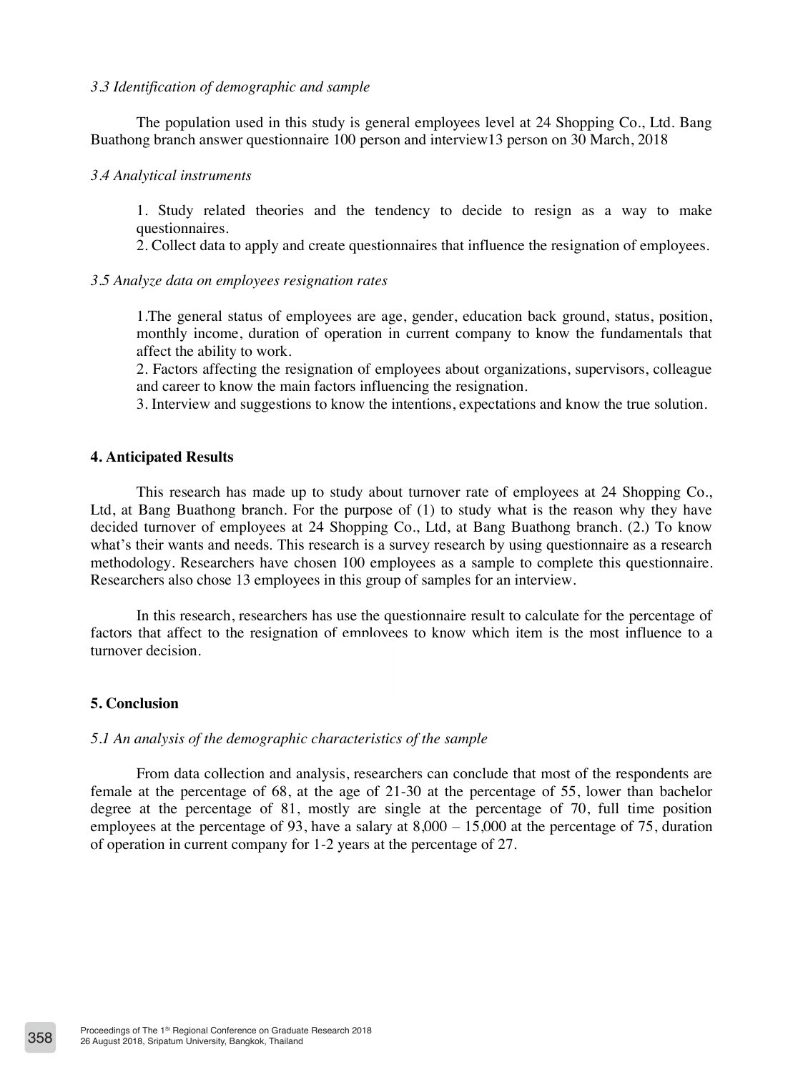#### *3.3 Identification of demographic and sample*

The population used in this study is general employees level at 24 Shopping Co., Ltd. Bang Buathong branch answer questionnaire 100 person and interview13 person on 30 March, 2018

#### *3.4 Analytical instruments*

1. Study related theories and the tendency to decide to resign as a way to make questionnaires.

2. Collect data to apply and create questionnaires that influence the resignation of employees.

#### *3.5 Analyze data on employees resignation rates*

1.The general status of employees are age, gender, education back ground, status, position, monthly income, duration of operation in current company to know the fundamentals that affect the ability to work.

2. Factors affecting the resignation of employees about organizations, supervisors, colleague and career to know the main factors influencing the resignation.

3. Interview and suggestions to know the intentions, expectations and know the true solution.

#### **4. Anticipated Results**

This research has made up to study about turnover rate of employees at 24 Shopping Co., Ltd, at Bang Buathong branch. For the purpose of (1) to study what is the reason why they have decided turnover of employees at 24 Shopping Co., Ltd, at Bang Buathong branch. (2.) To know what's their wants and needs. This research is a survey research by using questionnaire as a research methodology. Researchers have chosen 100 employees as a sample to complete this questionnaire. Researchers also chose 13 employees in this group of samples for an interview.

In this research, researchers has use the questionnaire result to calculate for the percentage of factors that affect to the resignation of employees to know which item is the most influence to a turnover decision.

#### **5. Conclusion**

#### *5.1 An analysis of the demographic characteristics of the sample*

From data collection and analysis, researchers can conclude that most of the respondents are female at the percentage of 68, at the age of 21-30 at the percentage of 55, lower than bachelor degree at the percentage of 81, mostly are single at the percentage of 70, full time position employees at the percentage of 93, have a salary at  $8,000 - 15,000$  at the percentage of 75, duration of operation in current company for 1-2 years at the percentage of 27.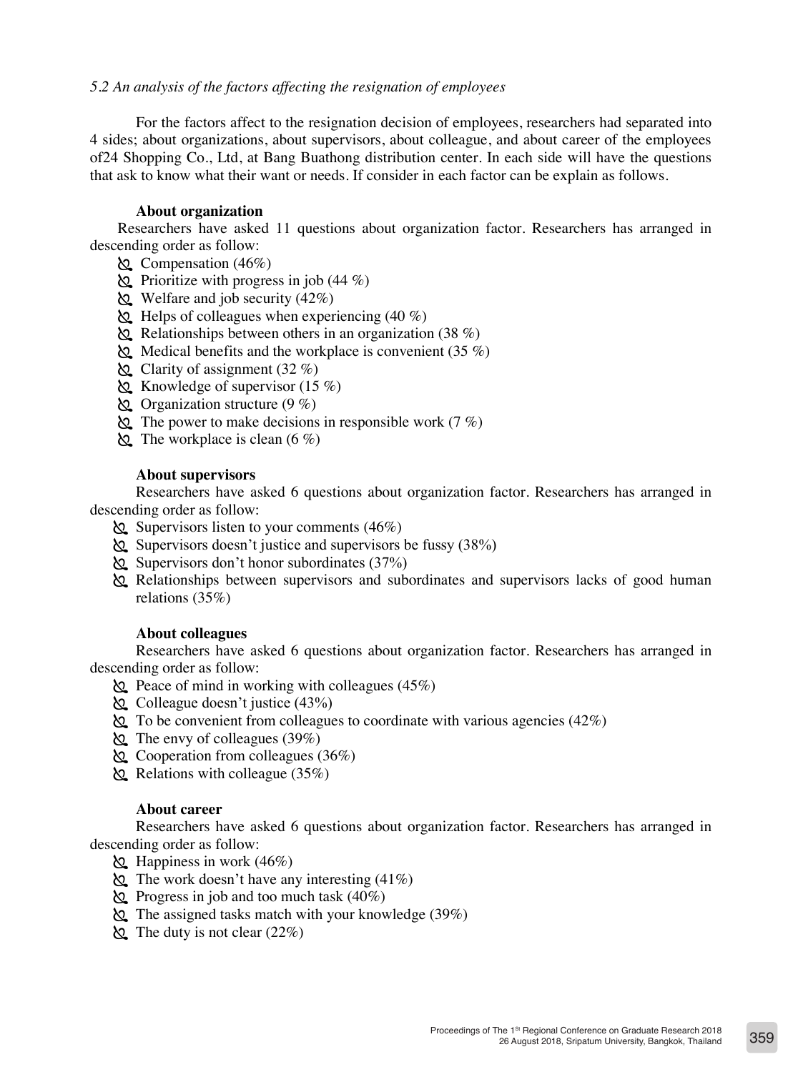## *5.2 An analysis of the factors affecting the resignation of employees*

For the factors affect to the resignation decision of employees, researchers had separated into 4 sides; about organizations, about supervisors, about colleague, and about career of the employees of24 Shopping Co., Ltd, at Bang Buathong distribution center. In each side will have the questions that ask to know what their want or needs. If consider in each factor can be explain as follows.

#### **About organization**

Researchers have asked 11 questions about organization factor. Researchers has arranged in descending order as follow:

- Compensation (46%)
- Prioritize with progress in job (44 %)
- Welfare and job security  $(42\%)$
- $\&$  Helps of colleagues when experiencing (40 %)
- Relationships between others in an organization (38 %)
- Medical benefits and the workplace is convenient  $(35\%)$
- $\&$  Clarity of assignment (32 %)
- Knowledge of supervisor  $(15 \%)$
- $\&$  Organization structure (9 %)
- The power to make decisions in responsible work  $(7 \%)$
- The workplace is clean  $(6 \%)$

## **About supervisors**

Researchers have asked 6 questions about organization factor. Researchers has arranged in descending order as follow:

- $\&$  Supervisors listen to your comments (46%)
- $\&$  Supervisors doesn't justice and supervisors be fussy (38%)
- $\&$  Supervisors don't honor subordinates (37%)
- Relationships between supervisors and subordinates and supervisors lacks of good human relations (35%)

#### **About colleagues**

Researchers have asked 6 questions about organization factor. Researchers has arranged in descending order as follow:

- $\&$  Peace of mind in working with colleagues (45%)
- Colleague doesn't justice (43%)
- $\&$  To be convenient from colleagues to coordinate with various agencies (42%)
- The envy of colleagues (39%)
- Cooperation from colleagues  $(36%)$
- $\&$  Relations with colleague (35%)

#### **About career**

Researchers have asked 6 questions about organization factor. Researchers has arranged in descending order as follow:

- $\&$  Happiness in work (46%)
- $\&$  The work doesn't have any interesting (41%)
- $\&$  Progress in job and too much task (40%)
- $\&$  The assigned tasks match with your knowledge (39%)
- $\&$  The duty is not clear (22%)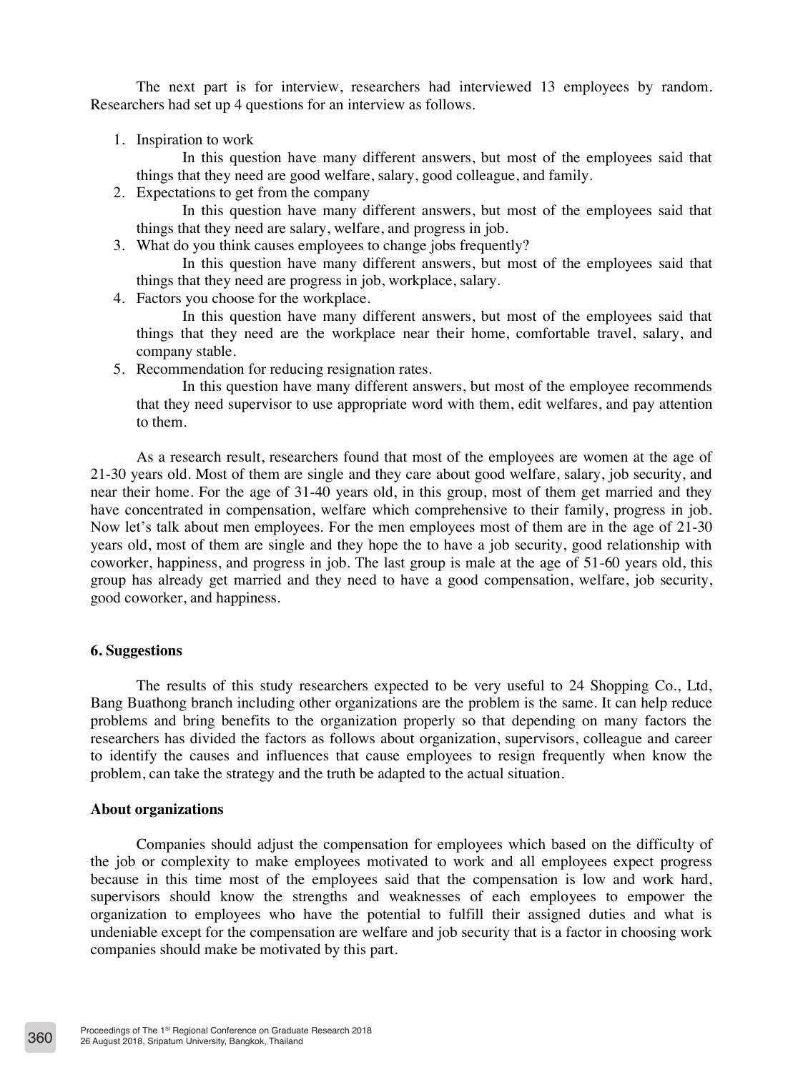The next part is for interview, researchers had interviewed 13 employees by random. Researchers had set up 4 questions for an interview as follows.

1. Inspiration to work

In this question have many different answers, but most of the employees said that things that they need are good welfare, salary, good colleague, and family.

2. Expectations to get from the company

In this question have many different answers, but most of the employees said that things that they need are salary, welfare, and progress in job.

3. What do you think causes employees to change jobs frequently?

In this question have many different answers, but most of the employees said that things that they need are progress in job, workplace, salary.

4. Factors you choose for the workplace.

In this question have many different answers, but most of the employees said that things that they need are the workplace near their home, comfortable travel, salary, and company stable.

5. Recommendation for reducing resignation rates.

In this question have many different answers, but most of the employee recommends that they need supervisor to use appropriate word with them, edit welfares, and pay attention to them.

As a research result, researchers found that most of the employees are women at the age of 21-30 years old. Most of them are single and they care about good welfare, salary, job security, and near their home. For the age of 31-40 years old, in this group, most of them get married and they have concentrated in compensation, welfare which comprehensive to their family, progress in job. Now let's talk about men employees. For the men employees most of them are in the age of 21-30 years old, most of them are single and they hope the to have a job security, good relationship with coworker, happiness, and progress in job. The last group is male at the age of 51-60 years old, this group has already get married and they need to have a good compensation, welfare, job security, good coworker, and happiness.

## **6. Suggestions**

The results of this study researchers expected to be very useful to 24 Shopping Co., Ltd, Bang Buathong branch including other organizations are the problem is the same. It can help reduce problems and bring benefits to the organization properly so that depending on many factors the researchers has divided the factors as follows about organization, supervisors, colleague and career to identify the causes and influences that cause employees to resign frequently when know the problem, can take the strategy and the truth be adapted to the actual situation.

#### **About organizations**

Companies should adjust the compensation for employees which based on the difficulty of the job or complexity to make employees motivated to work and all employees expect progress because in this time most of the employees said that the compensation is low and work hard, supervisors should know the strengths and weaknesses of each employees to empower the organization to employees who have the potential to fulfill their assigned duties and what is undeniable except for the compensation are welfare and job security that is a factor in choosing work companies should make be motivated by this part.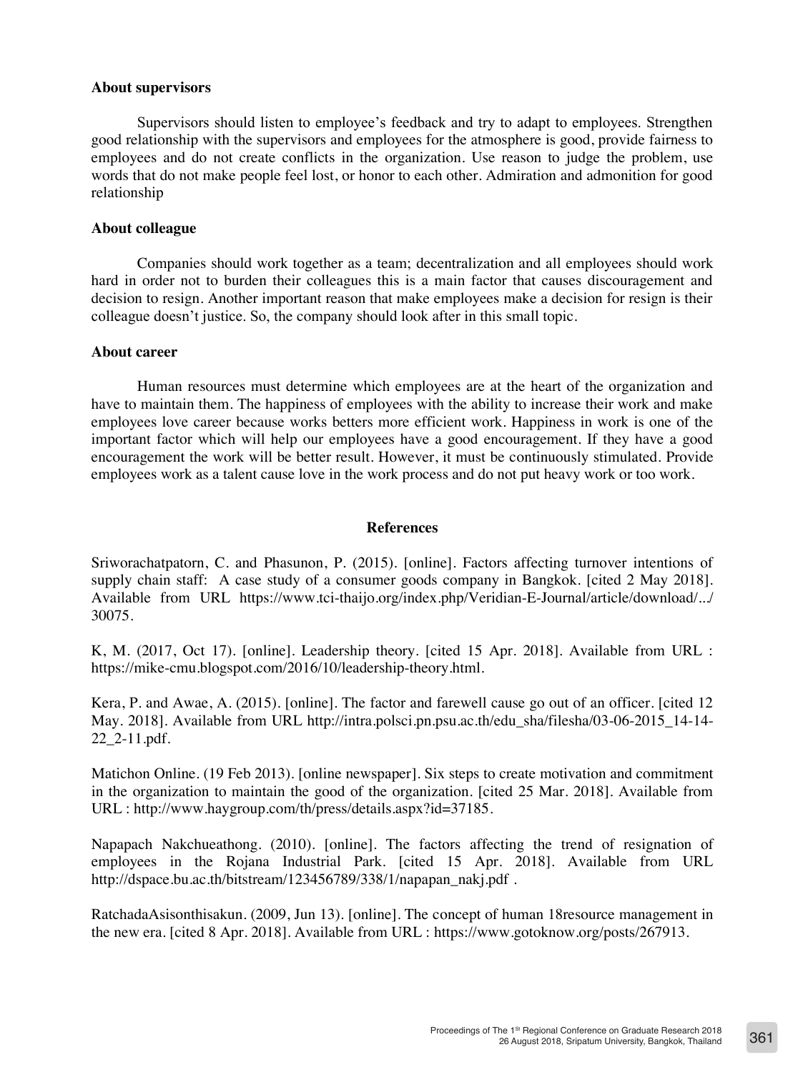## **About supervisors**

Supervisors should listen to employee's feedback and try to adapt to employees. Strengthen good relationship with the supervisors and employees for the atmosphere is good, provide fairness to employees and do not create conflicts in the organization. Use reason to judge the problem, use words that do not make people feel lost, or honor to each other. Admiration and admonition for good relationship

## **About colleague**

Companies should work together as a team; decentralization and all employees should work hard in order not to burden their colleagues this is a main factor that causes discouragement and decision to resign. Another important reason that make employees make a decision for resign is their colleague doesn't justice. So, the company should look after in this small topic.

## **About career**

Human resources must determine which employees are at the heart of the organization and have to maintain them. The happiness of employees with the ability to increase their work and make employees love career because works betters more efficient work. Happiness in work is one of the important factor which will help our employees have a good encouragement. If they have a good encouragement the work will be better result. However, it must be continuously stimulated. Provide employees work as a talent cause love in the work process and do not put heavy work or too work.

## **References**

Sriworachatpatorn, C. and Phasunon, P. (2015). [online]. Factors affecting turnover intentions of supply chain staff: A case study of a consumer goods company in Bangkok. [cited 2 May 2018]. Available from URL https://www.tci-thaijo.org/index.php/Veridian-E-Journal/article/download/.../ 30075.

K, M. (2017, Oct 17). [online]. Leadership theory. [cited 15 Apr. 2018]. Available from URL : https://mike-cmu.blogspot.com/2016/10/leadership-theory.html.

Kera, P. and Awae, A. (2015). [online]. The factor and farewell cause go out of an officer. [cited 12 May. 2018]. Available from URL http://intra.polsci.pn.psu.ac.th/edu\_sha/filesha/03-06-2015\_14-14- 22\_2-11.pdf.

Matichon Online. (19 Feb 2013). [online newspaper]. Six steps to create motivation and commitment in the organization to maintain the good of the organization. [cited 25 Mar. 2018]. Available from URL : http://www.haygroup.com/th/press/details.aspx?id=37185.

Napapach Nakchueathong. (2010). [online]. The factors affecting the trend of resignation of employees in the Rojana Industrial Park. [cited 15 Apr. 2018]. Available from URL http://dspace.bu.ac.th/bitstream/123456789/338/1/napapan\_nakj.pdf .

RatchadaAsisonthisakun. (2009, Jun 13). [online]. The concept of human 18resource management in the new era. [cited 8 Apr. 2018]. Available from URL : https://www.gotoknow.org/posts/267913.